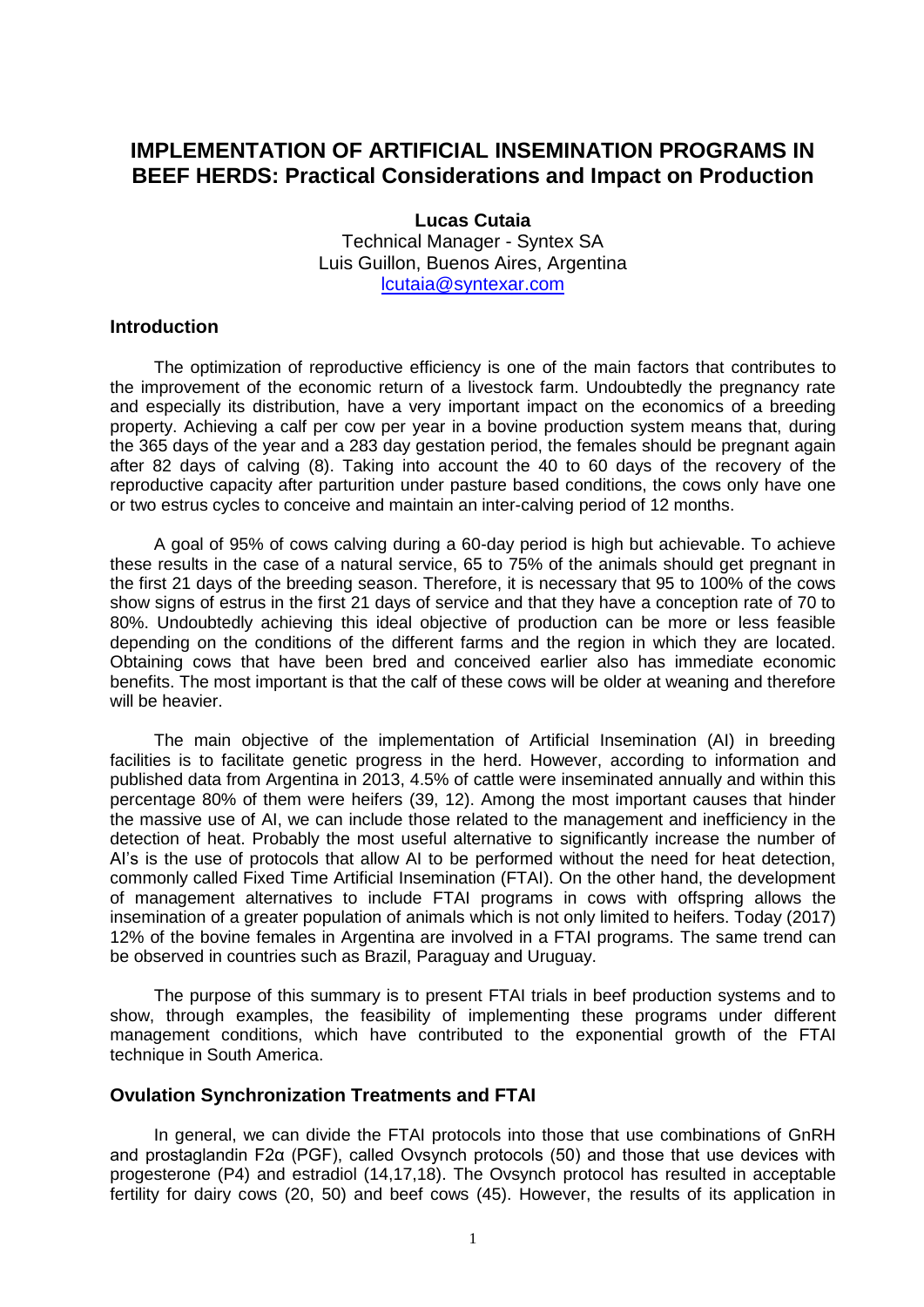# **IMPLEMENTATION OF ARTIFICIAL INSEMINATION PROGRAMS IN BEEF HERDS: Practical Considerations and Impact on Production**

**Lucas Cutaia** Technical Manager - Syntex SA Luis Guillon, Buenos Aires, Argentina [lcutaia@syntexar.com](mailto:lcutaia@syntexar.com)

#### **Introduction**

The optimization of reproductive efficiency is one of the main factors that contributes to the improvement of the economic return of a livestock farm. Undoubtedly the pregnancy rate and especially its distribution, have a very important impact on the economics of a breeding property. Achieving a calf per cow per year in a bovine production system means that, during the 365 days of the year and a 283 day gestation period, the females should be pregnant again after 82 days of calving (8). Taking into account the 40 to 60 days of the recovery of the reproductive capacity after parturition under pasture based conditions, the cows only have one or two estrus cycles to conceive and maintain an inter-calving period of 12 months.

A goal of 95% of cows calving during a 60-day period is high but achievable. To achieve these results in the case of a natural service, 65 to 75% of the animals should get pregnant in the first 21 days of the breeding season. Therefore, it is necessary that 95 to 100% of the cows show signs of estrus in the first 21 days of service and that they have a conception rate of 70 to 80%. Undoubtedly achieving this ideal objective of production can be more or less feasible depending on the conditions of the different farms and the region in which they are located. Obtaining cows that have been bred and conceived earlier also has immediate economic benefits. The most important is that the calf of these cows will be older at weaning and therefore will be heavier.

The main objective of the implementation of Artificial Insemination (AI) in breeding facilities is to facilitate genetic progress in the herd. However, according to information and published data from Argentina in 2013, 4.5% of cattle were inseminated annually and within this percentage 80% of them were heifers (39, 12). Among the most important causes that hinder the massive use of AI, we can include those related to the management and inefficiency in the detection of heat. Probably the most useful alternative to significantly increase the number of AI's is the use of protocols that allow AI to be performed without the need for heat detection, commonly called Fixed Time Artificial Insemination (FTAI). On the other hand, the development of management alternatives to include FTAI programs in cows with offspring allows the insemination of a greater population of animals which is not only limited to heifers. Today (2017) 12% of the bovine females in Argentina are involved in a FTAI programs. The same trend can be observed in countries such as Brazil, Paraguay and Uruguay.

The purpose of this summary is to present FTAI trials in beef production systems and to show, through examples, the feasibility of implementing these programs under different management conditions, which have contributed to the exponential growth of the FTAI technique in South America.

#### **Ovulation Synchronization Treatments and FTAI**

In general, we can divide the FTAI protocols into those that use combinations of GnRH and prostaglandin F2α (PGF), called Ovsynch protocols (50) and those that use devices with progesterone (P4) and estradiol (14,17,18). The Ovsynch protocol has resulted in acceptable fertility for dairy cows (20, 50) and beef cows (45). However, the results of its application in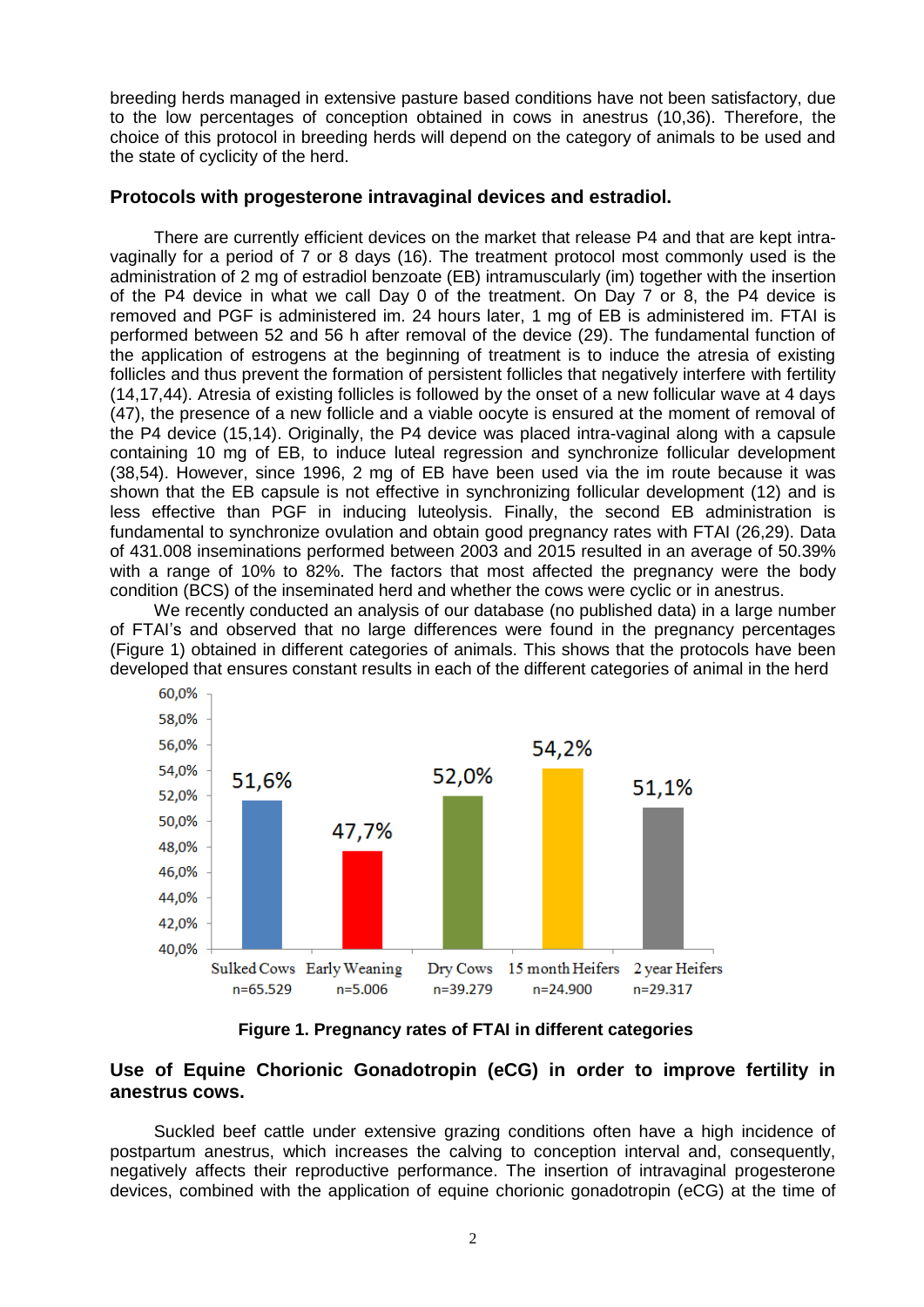breeding herds managed in extensive pasture based conditions have not been satisfactory, due to the low percentages of conception obtained in cows in anestrus (10,36). Therefore, the choice of this protocol in breeding herds will depend on the category of animals to be used and the state of cyclicity of the herd.

## **Protocols with progesterone intravaginal devices and estradiol.**

There are currently efficient devices on the market that release P4 and that are kept intravaginally for a period of 7 or 8 days (16). The treatment protocol most commonly used is the administration of 2 mg of estradiol benzoate (EB) intramuscularly (im) together with the insertion of the P4 device in what we call Day 0 of the treatment. On Day 7 or 8, the P4 device is removed and PGF is administered im. 24 hours later, 1 mg of EB is administered im. FTAI is performed between 52 and 56 h after removal of the device (29). The fundamental function of the application of estrogens at the beginning of treatment is to induce the atresia of existing follicles and thus prevent the formation of persistent follicles that negatively interfere with fertility (14,17,44). Atresia of existing follicles is followed by the onset of a new follicular wave at 4 days (47), the presence of a new follicle and a viable oocyte is ensured at the moment of removal of the P4 device (15,14). Originally, the P4 device was placed intra-vaginal along with a capsule containing 10 mg of EB, to induce luteal regression and synchronize follicular development (38,54). However, since 1996, 2 mg of EB have been used via the im route because it was shown that the EB capsule is not effective in synchronizing follicular development (12) and is less effective than PGF in inducing luteolysis. Finally, the second EB administration is fundamental to synchronize ovulation and obtain good pregnancy rates with FTAI (26,29). Data of 431.008 inseminations performed between 2003 and 2015 resulted in an average of 50.39% with a range of 10% to 82%. The factors that most affected the pregnancy were the body condition (BCS) of the inseminated herd and whether the cows were cyclic or in anestrus.

We recently conducted an analysis of our database (no published data) in a large number of FTAI's and observed that no large differences were found in the pregnancy percentages (Figure 1) obtained in different categories of animals. This shows that the protocols have been developed that ensures constant results in each of the different categories of animal in the herd



**Figure 1. Pregnancy rates of FTAI in different categories** 

## **Use of Equine Chorionic Gonadotropin (eCG) in order to improve fertility in anestrus cows.**

Suckled beef cattle under extensive grazing conditions often have a high incidence of postpartum anestrus, which increases the calving to conception interval and, consequently, negatively affects their reproductive performance. The insertion of intravaginal progesterone devices, combined with the application of equine chorionic gonadotropin (eCG) at the time of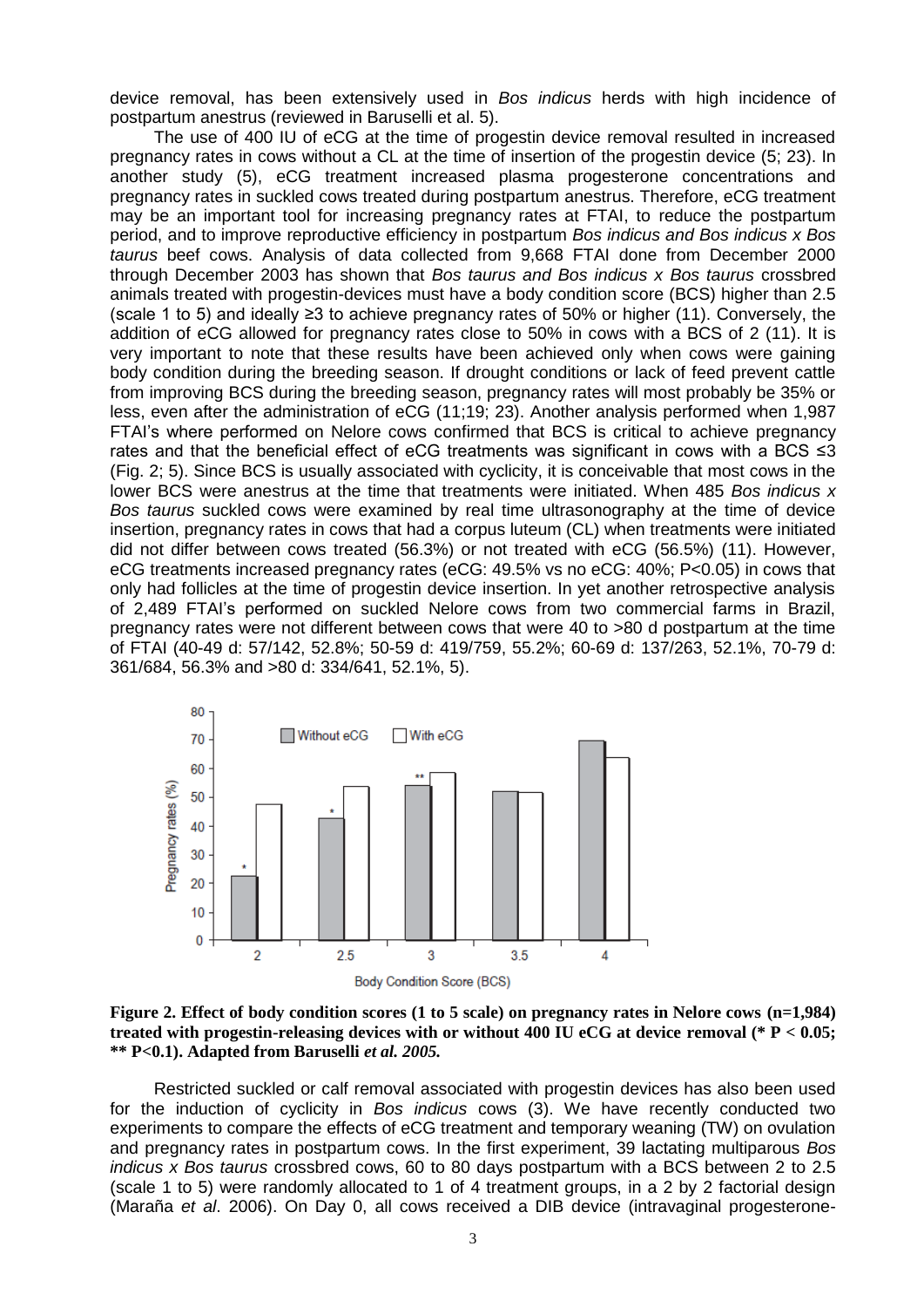device removal, has been extensively used in *Bos indicus* herds with high incidence of postpartum anestrus (reviewed in Baruselli et al. 5).

The use of 400 IU of eCG at the time of progestin device removal resulted in increased pregnancy rates in cows without a CL at the time of insertion of the progestin device (5; 23). In another study (5), eCG treatment increased plasma progesterone concentrations and pregnancy rates in suckled cows treated during postpartum anestrus. Therefore, eCG treatment may be an important tool for increasing pregnancy rates at FTAI, to reduce the postpartum period, and to improve reproductive efficiency in postpartum *Bos indicus and Bos indicus x Bos taurus* beef cows. Analysis of data collected from 9,668 FTAI done from December 2000 through December 2003 has shown that *Bos taurus and Bos indicus x Bos taurus* crossbred animals treated with progestin-devices must have a body condition score (BCS) higher than 2.5 (scale 1 to 5) and ideally ≥3 to achieve pregnancy rates of 50% or higher (11). Conversely, the addition of eCG allowed for pregnancy rates close to 50% in cows with a BCS of 2 (11). It is very important to note that these results have been achieved only when cows were gaining body condition during the breeding season. If drought conditions or lack of feed prevent cattle from improving BCS during the breeding season, pregnancy rates will most probably be 35% or less, even after the administration of eCG (11;19; 23). Another analysis performed when 1,987 FTAI's where performed on Nelore cows confirmed that BCS is critical to achieve pregnancy rates and that the beneficial effect of eCG treatments was significant in cows with a BCS ≤3 (Fig. 2; 5). Since BCS is usually associated with cyclicity, it is conceivable that most cows in the lower BCS were anestrus at the time that treatments were initiated. When 485 *Bos indicus x Bos taurus* suckled cows were examined by real time ultrasonography at the time of device insertion, pregnancy rates in cows that had a corpus luteum (CL) when treatments were initiated did not differ between cows treated (56.3%) or not treated with eCG (56.5%) (11). However, eCG treatments increased pregnancy rates (eCG: 49.5% vs no eCG: 40%; P<0.05) in cows that only had follicles at the time of progestin device insertion. In yet another retrospective analysis of 2,489 FTAI's performed on suckled Nelore cows from two commercial farms in Brazil, pregnancy rates were not different between cows that were 40 to >80 d postpartum at the time of FTAI (40-49 d: 57/142, 52.8%; 50-59 d: 419/759, 55.2%; 60-69 d: 137/263, 52.1%, 70-79 d: 361/684, 56.3% and >80 d: 334/641, 52.1%, 5).





Restricted suckled or calf removal associated with progestin devices has also been used for the induction of cyclicity in *Bos indicus* cows (3). We have recently conducted two experiments to compare the effects of eCG treatment and temporary weaning (TW) on ovulation and pregnancy rates in postpartum cows. In the first experiment, 39 lactating multiparous *Bos indicus x Bos taurus* crossbred cows, 60 to 80 days postpartum with a BCS between 2 to 2.5 (scale 1 to 5) were randomly allocated to 1 of 4 treatment groups, in a 2 by 2 factorial design (Maraña *et al*. 2006). On Day 0, all cows received a DIB device (intravaginal progesterone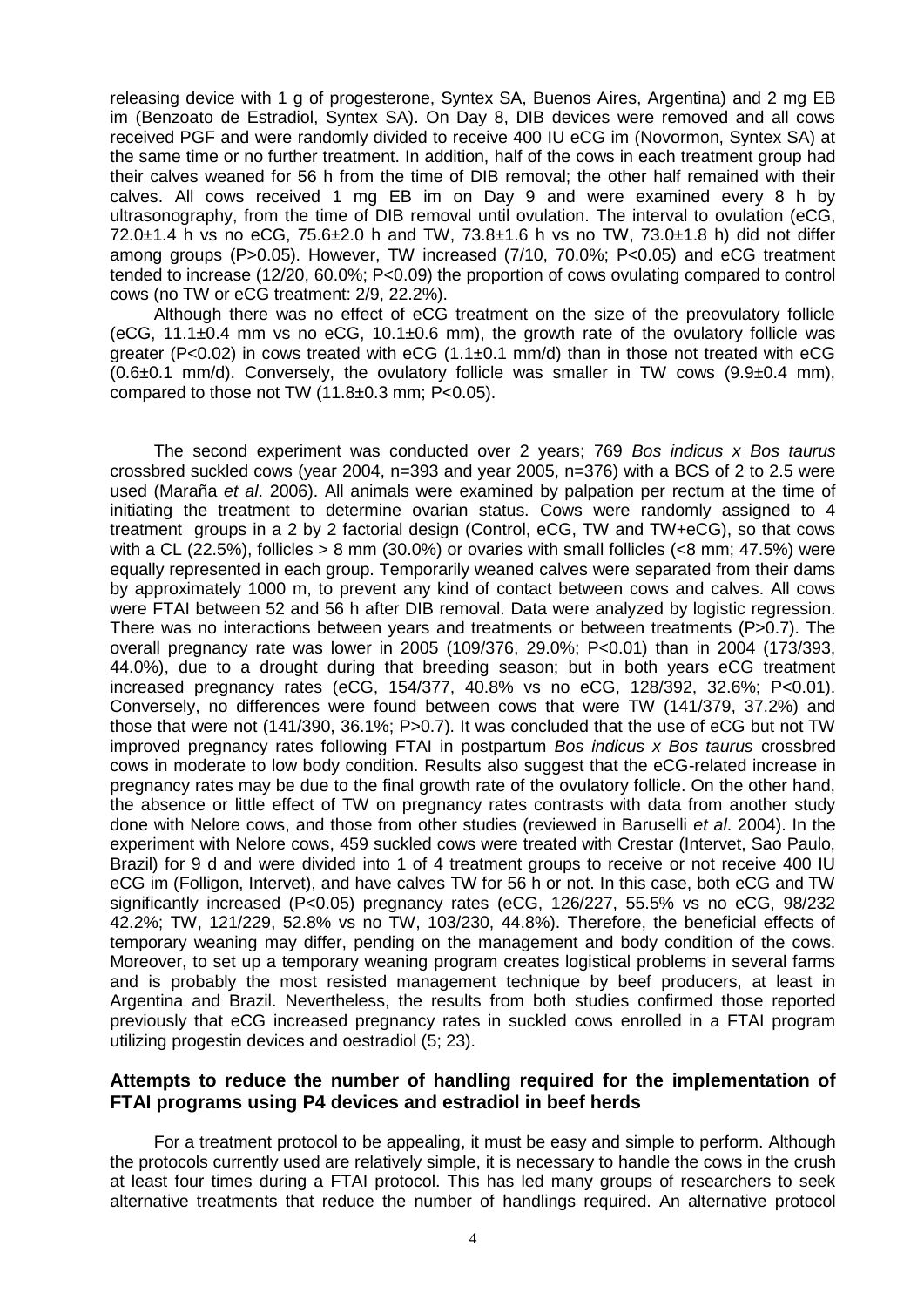releasing device with 1 g of progesterone, Syntex SA, Buenos Aires, Argentina) and 2 mg EB im (Benzoato de Estradiol, Syntex SA). On Day 8, DIB devices were removed and all cows received PGF and were randomly divided to receive 400 IU eCG im (Novormon, Syntex SA) at the same time or no further treatment. In addition, half of the cows in each treatment group had their calves weaned for 56 h from the time of DIB removal; the other half remained with their calves. All cows received 1 mg EB im on Day 9 and were examined every 8 h by ultrasonography, from the time of DIB removal until ovulation. The interval to ovulation (eCG, 72.0±1.4 h vs no eCG, 75.6±2.0 h and TW, 73.8±1.6 h vs no TW, 73.0±1.8 h) did not differ among groups (P>0.05). However, TW increased (7/10, 70.0%; P<0.05) and eCG treatment tended to increase (12/20, 60.0%; P<0.09) the proportion of cows ovulating compared to control cows (no TW or eCG treatment: 2/9, 22.2%).

Although there was no effect of eCG treatment on the size of the preovulatory follicle (eCG,  $11.1\pm0.4$  mm vs no eCG,  $10.1\pm0.6$  mm), the growth rate of the ovulatory follicle was greater (P<0.02) in cows treated with eCG  $(1.1\pm0.1 \text{ mm/d})$  than in those not treated with eCG  $(0.6\pm0.1 \text{ mm/d})$ . Conversely, the ovulatory follicle was smaller in TW cows  $(9.9\pm0.4 \text{ mm})$ , compared to those not TW  $(11.8\pm0.3$  mm; P<0.05).

The second experiment was conducted over 2 years; 769 *Bos indicus x Bos taurus*  crossbred suckled cows (year 2004, n=393 and year 2005, n=376) with a BCS of 2 to 2.5 were used (Maraña *et al*. 2006). All animals were examined by palpation per rectum at the time of initiating the treatment to determine ovarian status. Cows were randomly assigned to 4 treatment groups in a 2 by 2 factorial design (Control, eCG, TW and TW+eCG), so that cows with a CL (22.5%), follicles  $> 8$  mm (30.0%) or ovaries with small follicles ( $< 8$  mm; 47.5%) were equally represented in each group. Temporarily weaned calves were separated from their dams by approximately 1000 m, to prevent any kind of contact between cows and calves. All cows were FTAI between 52 and 56 h after DIB removal. Data were analyzed by logistic regression. There was no interactions between years and treatments or between treatments (P>0.7). The overall pregnancy rate was lower in 2005 (109/376, 29.0%; P<0.01) than in 2004 (173/393, 44.0%), due to a drought during that breeding season; but in both years eCG treatment increased pregnancy rates (eCG, 154/377, 40.8% vs no eCG, 128/392, 32.6%; P<0.01). Conversely, no differences were found between cows that were TW (141/379, 37.2%) and those that were not (141/390, 36.1%; P>0.7). It was concluded that the use of eCG but not TW improved pregnancy rates following FTAI in postpartum *Bos indicus x Bos taurus* crossbred cows in moderate to low body condition. Results also suggest that the eCG-related increase in pregnancy rates may be due to the final growth rate of the ovulatory follicle. On the other hand, the absence or little effect of TW on pregnancy rates contrasts with data from another study done with Nelore cows, and those from other studies (reviewed in Baruselli *et al*. 2004). In the experiment with Nelore cows, 459 suckled cows were treated with Crestar (Intervet, Sao Paulo, Brazil) for 9 d and were divided into 1 of 4 treatment groups to receive or not receive 400 IU eCG im (Folligon, Intervet), and have calves TW for 56 h or not. In this case, both eCG and TW significantly increased (P<0.05) pregnancy rates (eCG, 126/227, 55.5% vs no eCG, 98/232 42.2%; TW, 121/229, 52.8% vs no TW, 103/230, 44.8%). Therefore, the beneficial effects of temporary weaning may differ, pending on the management and body condition of the cows. Moreover, to set up a temporary weaning program creates logistical problems in several farms and is probably the most resisted management technique by beef producers, at least in Argentina and Brazil. Nevertheless, the results from both studies confirmed those reported previously that eCG increased pregnancy rates in suckled cows enrolled in a FTAI program utilizing progestin devices and oestradiol (5; 23).

## **Attempts to reduce the number of handling required for the implementation of FTAI programs using P4 devices and estradiol in beef herds**

For a treatment protocol to be appealing, it must be easy and simple to perform. Although the protocols currently used are relatively simple, it is necessary to handle the cows in the crush at least four times during a FTAI protocol. This has led many groups of researchers to seek alternative treatments that reduce the number of handlings required. An alternative protocol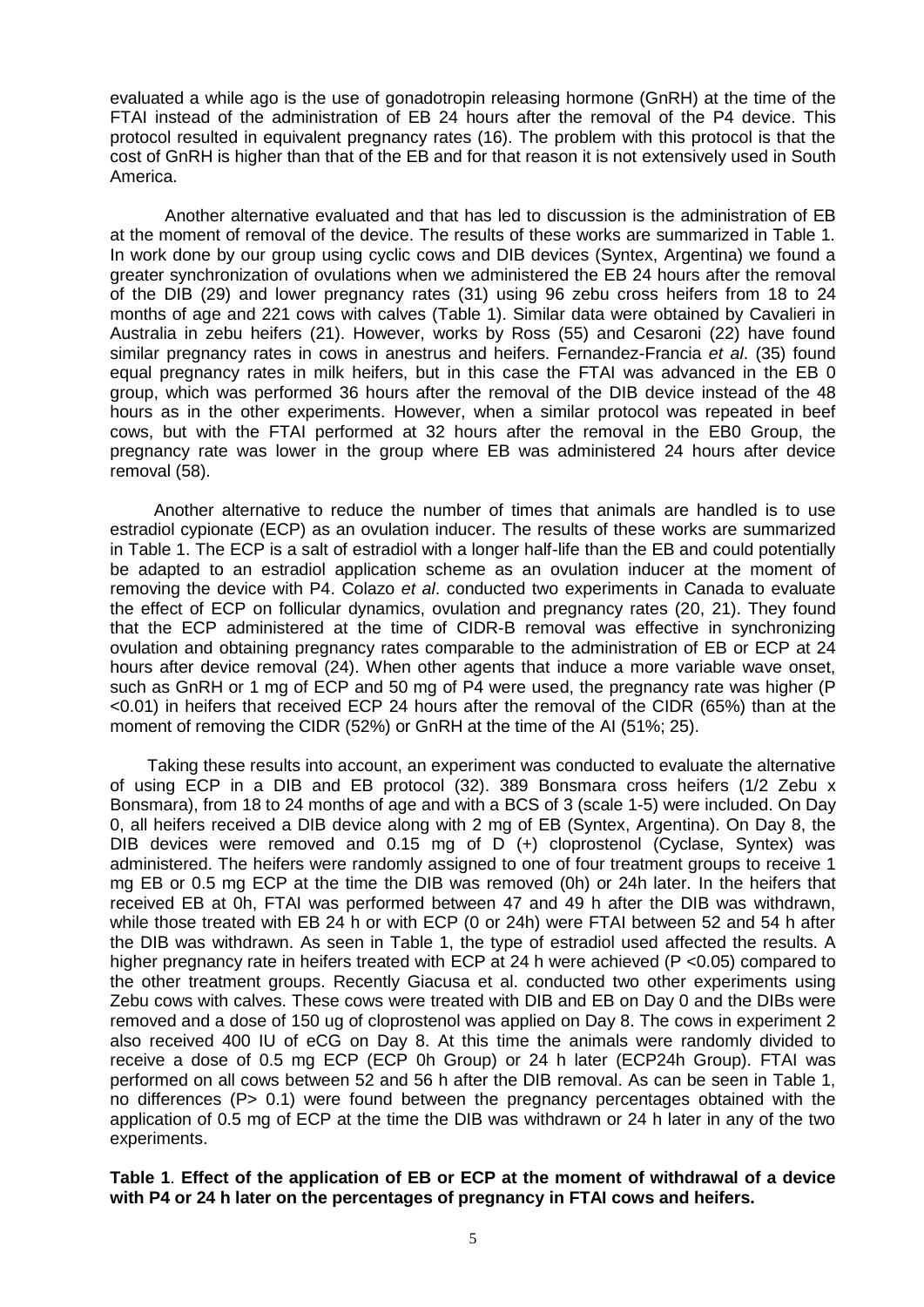evaluated a while ago is the use of gonadotropin releasing hormone (GnRH) at the time of the FTAI instead of the administration of EB 24 hours after the removal of the P4 device. This protocol resulted in equivalent pregnancy rates (16). The problem with this protocol is that the cost of GnRH is higher than that of the EB and for that reason it is not extensively used in South America.

Another alternative evaluated and that has led to discussion is the administration of EB at the moment of removal of the device. The results of these works are summarized in Table 1. In work done by our group using cyclic cows and DIB devices (Syntex, Argentina) we found a greater synchronization of ovulations when we administered the EB 24 hours after the removal of the DIB (29) and lower pregnancy rates (31) using 96 zebu cross heifers from 18 to 24 months of age and 221 cows with calves (Table 1). Similar data were obtained by Cavalieri in Australia in zebu heifers (21). However, works by Ross (55) and Cesaroni (22) have found similar pregnancy rates in cows in anestrus and heifers. Fernandez-Francia *et al*. (35) found equal pregnancy rates in milk heifers, but in this case the FTAI was advanced in the EB 0 group, which was performed 36 hours after the removal of the DIB device instead of the 48 hours as in the other experiments. However, when a similar protocol was repeated in beef cows, but with the FTAI performed at 32 hours after the removal in the EB0 Group, the pregnancy rate was lower in the group where EB was administered 24 hours after device removal (58).

Another alternative to reduce the number of times that animals are handled is to use estradiol cypionate (ECP) as an ovulation inducer. The results of these works are summarized in Table 1. The ECP is a salt of estradiol with a longer half-life than the EB and could potentially be adapted to an estradiol application scheme as an ovulation inducer at the moment of removing the device with P4. Colazo *et al*. conducted two experiments in Canada to evaluate the effect of ECP on follicular dynamics, ovulation and pregnancy rates (20, 21). They found that the ECP administered at the time of CIDR-B removal was effective in synchronizing ovulation and obtaining pregnancy rates comparable to the administration of EB or ECP at 24 hours after device removal (24). When other agents that induce a more variable wave onset, such as GnRH or 1 mg of ECP and 50 mg of P4 were used, the pregnancy rate was higher (P <0.01) in heifers that received ECP 24 hours after the removal of the CIDR (65%) than at the moment of removing the CIDR (52%) or GnRH at the time of the AI (51%; 25).

Taking these results into account, an experiment was conducted to evaluate the alternative of using ECP in a DIB and EB protocol (32). 389 Bonsmara cross heifers (1/2 Zebu x Bonsmara), from 18 to 24 months of age and with a BCS of 3 (scale 1-5) were included. On Day 0, all heifers received a DIB device along with 2 mg of EB (Syntex, Argentina). On Day 8, the DIB devices were removed and 0.15 mg of D (+) cloprostenol (Cyclase, Syntex) was administered. The heifers were randomly assigned to one of four treatment groups to receive 1 mg EB or 0.5 mg ECP at the time the DIB was removed (0h) or 24h later. In the heifers that received EB at 0h, FTAI was performed between 47 and 49 h after the DIB was withdrawn, while those treated with EB 24 h or with ECP (0 or 24h) were FTAI between 52 and 54 h after the DIB was withdrawn. As seen in Table 1, the type of estradiol used affected the results. A higher pregnancy rate in heifers treated with ECP at 24 h were achieved (P <0.05) compared to the other treatment groups. Recently Giacusa et al. conducted two other experiments using Zebu cows with calves. These cows were treated with DIB and EB on Day 0 and the DIBs were removed and a dose of 150 ug of cloprostenol was applied on Day 8. The cows in experiment 2 also received 400 IU of eCG on Day 8. At this time the animals were randomly divided to receive a dose of 0.5 mg ECP (ECP 0h Group) or 24 h later (ECP24h Group). FTAI was performed on all cows between 52 and 56 h after the DIB removal. As can be seen in Table 1, no differences (P > 0.1) were found between the pregnancy percentages obtained with the application of 0.5 mg of ECP at the time the DIB was withdrawn or 24 h later in any of the two experiments.

**Table 1**. **Effect of the application of EB or ECP at the moment of withdrawal of a device with P4 or 24 h later on the percentages of pregnancy in FTAI cows and heifers.**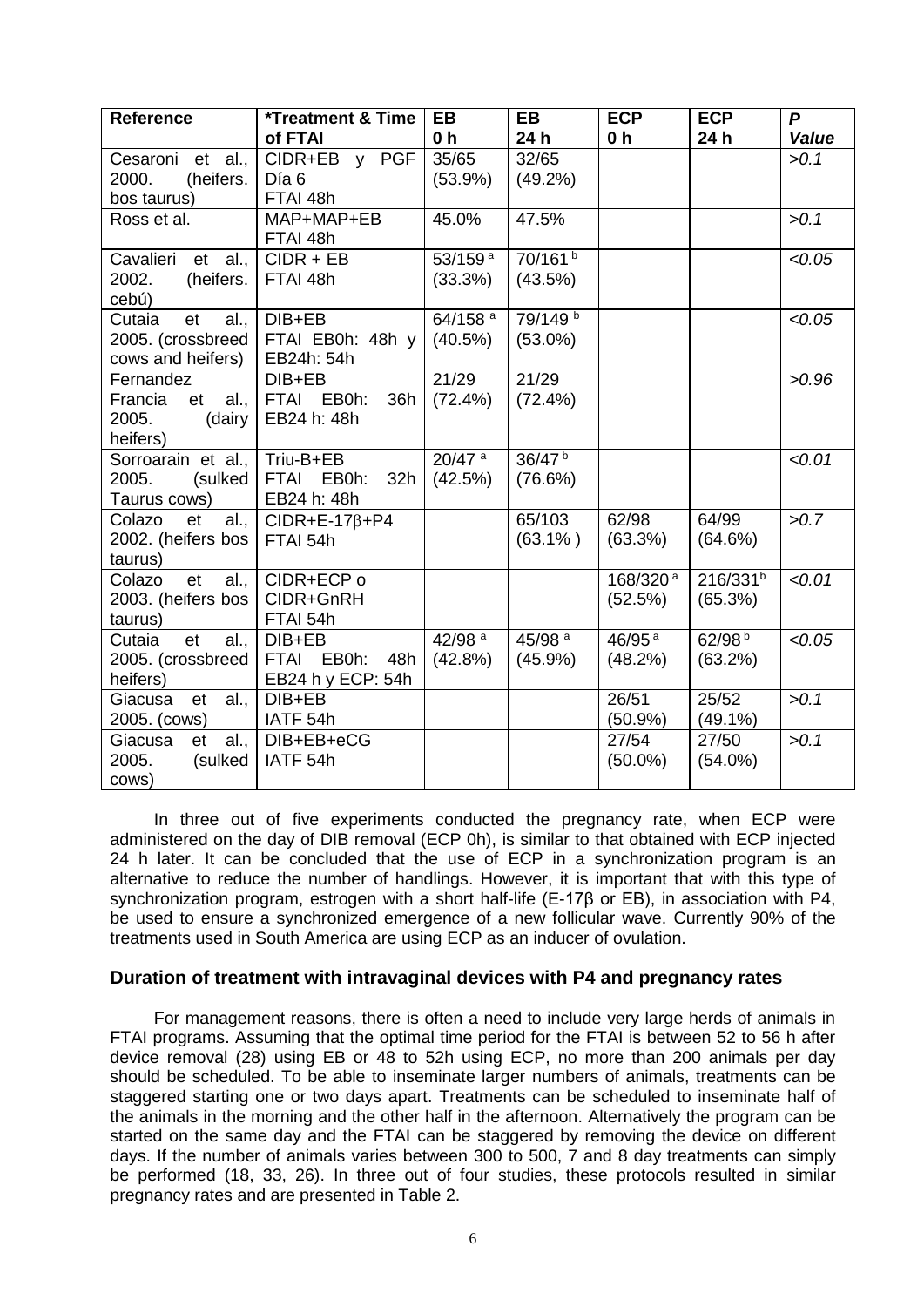| <b>Reference</b>      | <b>*Treatment &amp; Time</b>            | <b>EB</b>            | <b>EB</b>           | <b>ECP</b>           | <b>ECP</b>           | P      |
|-----------------------|-----------------------------------------|----------------------|---------------------|----------------------|----------------------|--------|
|                       | of FTAI                                 | 0 <sub>h</sub>       | 24 h                | 0 h                  | 24h                  | Value  |
| Cesaroni et al.,      | CIDR+EB y PGF                           | 35/65                | 32/65               |                      |                      | >0.1   |
| (heifers.<br>2000.    | Día 6                                   | $(53.9\%)$           | $(49.2\%)$          |                      |                      |        |
| bos taurus)           | FTAI 48h                                |                      |                     |                      |                      |        |
| Ross et al.           | MAP+MAP+EB                              | 45.0%                | 47.5%               |                      |                      | >0.1   |
|                       | FTAI 48h                                |                      |                     |                      |                      |        |
| Cavalieri et al.,     | $CIDR + EB$                             | 53/159 <sup>a</sup>  | 70/161 <sup>b</sup> |                      |                      | < 0.05 |
| 2002.<br>(heifers.    | FTAI 48h                                | (33.3%)              | (43.5%)             |                      |                      |        |
| cebú)                 |                                         |                      |                     |                      |                      |        |
| Cutaia<br>et<br>al.,  | DIB+EB                                  | 64/158 <sup>a</sup>  | 79/149 <sup>b</sup> |                      |                      | < 0.05 |
| 2005. (crossbreed     | FTAI EB0h: 48h y                        | (40.5%)              | $(53.0\%)$          |                      |                      |        |
| cows and heifers)     | EB24h: 54h                              |                      |                     |                      |                      |        |
| Fernandez             | DIB+EB                                  | 21/29                | 21/29               |                      |                      | >0.96  |
| al.,<br>Francia<br>et | FTAI EB0h:<br>36h                       | $(72.4\%)$           | $(72.4\%)$          |                      |                      |        |
| 2005.<br>(dairy       | EB24 h: 48h                             |                      |                     |                      |                      |        |
| heifers)              |                                         |                      |                     |                      |                      |        |
| Sorroarain et al.,    | Triu-B+EB                               | $20/47$ <sup>a</sup> | 36/47 <sup>b</sup>  |                      |                      | < 0.01 |
| 2005.<br>(sulked      | <b>FTAI</b><br>EB0h:<br>32 <sub>h</sub> | (42.5%)              | (76.6%)             |                      |                      |        |
| Taurus cows)          | EB24 h: 48h                             |                      |                     |                      |                      |        |
| Colazo<br>et<br>al.,  | $CIDR+E-17\beta+P4$                     |                      | 65/103              | 62/98                | 64/99                | >0.7   |
| 2002. (heifers bos    | FTAI 54h                                |                      | $(63.1\%)$          | (63.3%)              | (64.6%)              |        |
| taurus)               |                                         |                      |                     |                      |                      |        |
| Colazo<br>et<br>al.,  | CIDR+ECP o                              |                      |                     | 168/320 <sup>a</sup> | 216/331 <sup>b</sup> | < 0.01 |
| 2003. (heifers bos    | CIDR+GnRH                               |                      |                     | (52.5%)              | (65.3%)              |        |
| taurus)               | FTAI 54h                                |                      |                     |                      |                      |        |
| Cutaia<br>et<br>al.,  | DIB+EB                                  | 42/98 <sup>a</sup>   | 45/98 <sup>a</sup>  | $46/95$ <sup>a</sup> | 62/98 <sup>b</sup>   | < 0.05 |
| 2005. (crossbreed     | FTAI EB0h:<br>48h                       | $(42.8\%)$           | $(45.9\%)$          | $(48.2\%)$           | (63.2%)              |        |
| heifers)              | EB24 h y ECP: 54h                       |                      |                     |                      |                      |        |
| Giacusa<br>al.,<br>et | $DIB + EB$                              |                      |                     | 26/51                | 25/52                | >0.1   |
| 2005. (cows)          | IATF 54h                                |                      |                     | (50.9%               | $(49.1\%)$           |        |
| Giacusa<br>al.,<br>et | DIB+EB+eCG                              |                      |                     | 27/54                | 27/50                | >0.1   |
| 2005.<br>(sulked      | IATF <sub>54h</sub>                     |                      |                     | $(50.0\%)$           | $(54.0\%)$           |        |
| cows)                 |                                         |                      |                     |                      |                      |        |

In three out of five experiments conducted the pregnancy rate, when ECP were administered on the day of DIB removal (ECP 0h), is similar to that obtained with ECP injected 24 h later. It can be concluded that the use of ECP in a synchronization program is an alternative to reduce the number of handlings. However, it is important that with this type of synchronization program, estrogen with a short half-life (E-17β or EB), in association with P4, be used to ensure a synchronized emergence of a new follicular wave. Currently 90% of the treatments used in South America are using ECP as an inducer of ovulation.

#### **Duration of treatment with intravaginal devices with P4 and pregnancy rates**

For management reasons, there is often a need to include very large herds of animals in FTAI programs. Assuming that the optimal time period for the FTAI is between 52 to 56 h after device removal (28) using EB or 48 to 52h using ECP, no more than 200 animals per day should be scheduled. To be able to inseminate larger numbers of animals, treatments can be staggered starting one or two days apart. Treatments can be scheduled to inseminate half of the animals in the morning and the other half in the afternoon. Alternatively the program can be started on the same day and the FTAI can be staggered by removing the device on different days. If the number of animals varies between 300 to 500, 7 and 8 day treatments can simply be performed (18, 33, 26). In three out of four studies, these protocols resulted in similar pregnancy rates and are presented in Table 2.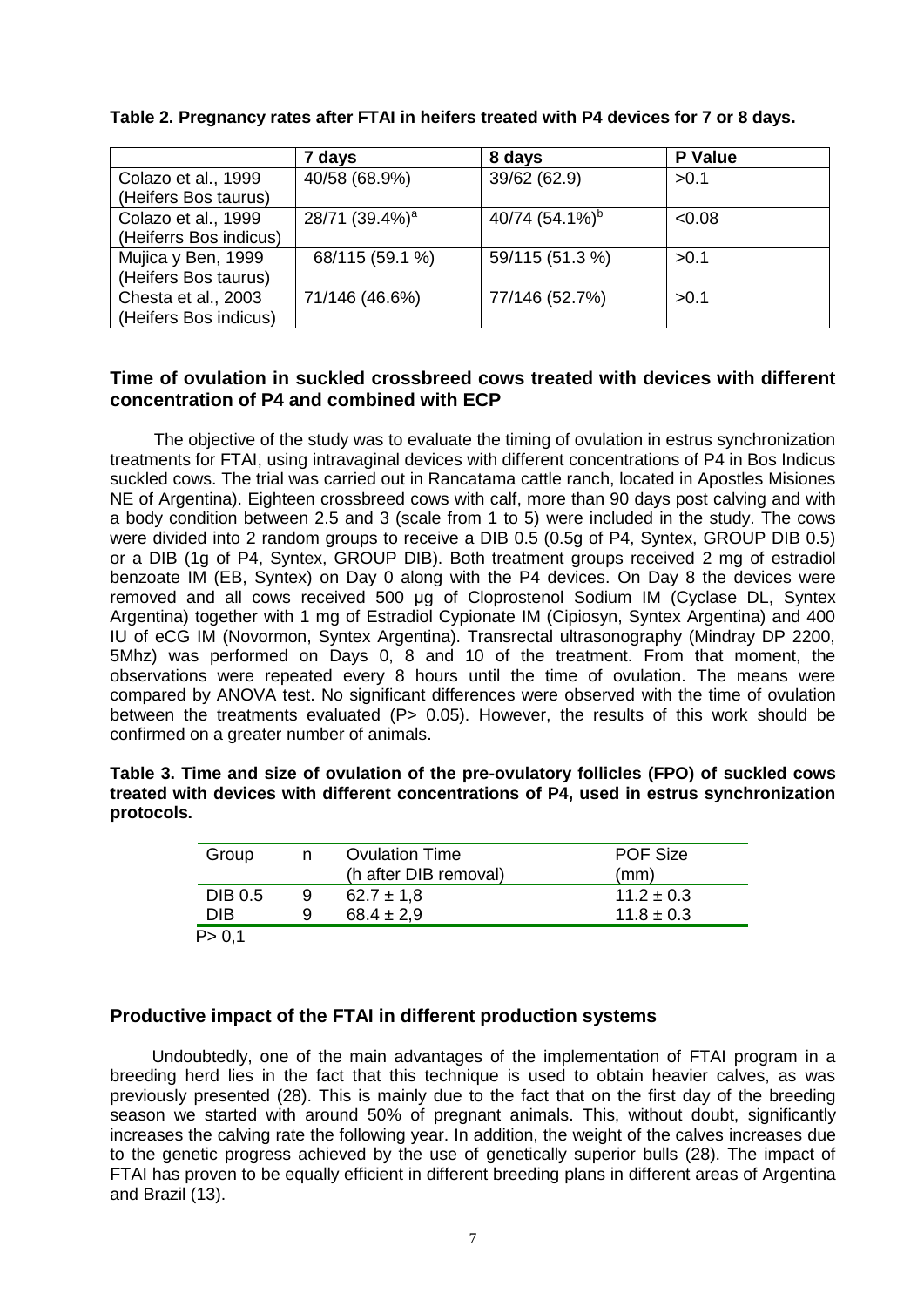|                        | 7 days                     | 8 days             | <b>P</b> Value |
|------------------------|----------------------------|--------------------|----------------|
| Colazo et al., 1999    | 40/58 (68.9%)              | 39/62 (62.9)       | >0.1           |
| (Heifers Bos taurus)   |                            |                    |                |
| Colazo et al., 1999    | 28/71 (39.4%) <sup>a</sup> | 40/74 $(54.1\%)^b$ | < 0.08         |
| (Heiferrs Bos indicus) |                            |                    |                |
| Mujica y Ben, 1999     | 68/115 (59.1 %)            | 59/115 (51.3 %)    | >0.1           |
| (Heifers Bos taurus)   |                            |                    |                |
| Chesta et al., 2003    | 71/146 (46.6%)             | 77/146 (52.7%)     | > 0.1          |
| Heifers Bos indicus)   |                            |                    |                |

## **Table 2. Pregnancy rates after FTAI in heifers treated with P4 devices for 7 or 8 days.**

### **Time of ovulation in suckled crossbreed cows treated with devices with different concentration of P4 and combined with ECP**

The objective of the study was to evaluate the timing of ovulation in estrus synchronization treatments for FTAI, using intravaginal devices with different concentrations of P4 in Bos Indicus suckled cows. The trial was carried out in Rancatama cattle ranch, located in Apostles Misiones NE of Argentina). Eighteen crossbreed cows with calf, more than 90 days post calving and with a body condition between 2.5 and 3 (scale from 1 to 5) were included in the study. The cows were divided into 2 random groups to receive a DIB 0.5 (0.5g of P4, Syntex, GROUP DIB 0.5) or a DIB (1g of P4, Syntex, GROUP DIB). Both treatment groups received 2 mg of estradiol benzoate IM (EB, Syntex) on Day 0 along with the P4 devices. On Day 8 the devices were removed and all cows received 500 μg of Cloprostenol Sodium IM (Cyclase DL, Syntex Argentina) together with 1 mg of Estradiol Cypionate IM (Cipiosyn, Syntex Argentina) and 400 IU of eCG IM (Novormon, Syntex Argentina). Transrectal ultrasonography (Mindray DP 2200, 5Mhz) was performed on Days 0, 8 and 10 of the treatment. From that moment, the observations were repeated every 8 hours until the time of ovulation. The means were compared by ANOVA test. No significant differences were observed with the time of ovulation between the treatments evaluated (P> 0.05). However, the results of this work should be confirmed on a greater number of animals.

| Table 3. Time and size of ovulation of the pre-ovulatory follicles (FPO) of suckled cows |  |
|------------------------------------------------------------------------------------------|--|
| treated with devices with different concentrations of P4, used in estrus synchronization |  |
| protocols.                                                                               |  |

| Group          | n | <b>Ovulation Time</b> | <b>POF Size</b> |
|----------------|---|-----------------------|-----------------|
|                |   | (h after DIB removal) | (mm)            |
| <b>DIB 0.5</b> | 9 | $62.7 \pm 1.8$        | $11.2 \pm 0.3$  |
| <b>DIB</b>     | 9 | $68.4 \pm 2.9$        | $11.8 \pm 0.3$  |
| P > 0.1        |   |                       |                 |

## **Productive impact of the FTAI in different production systems**

Undoubtedly, one of the main advantages of the implementation of FTAI program in a breeding herd lies in the fact that this technique is used to obtain heavier calves, as was previously presented (28). This is mainly due to the fact that on the first day of the breeding season we started with around 50% of pregnant animals. This, without doubt, significantly increases the calving rate the following year. In addition, the weight of the calves increases due to the genetic progress achieved by the use of genetically superior bulls (28). The impact of FTAI has proven to be equally efficient in different breeding plans in different areas of Argentina and Brazil (13).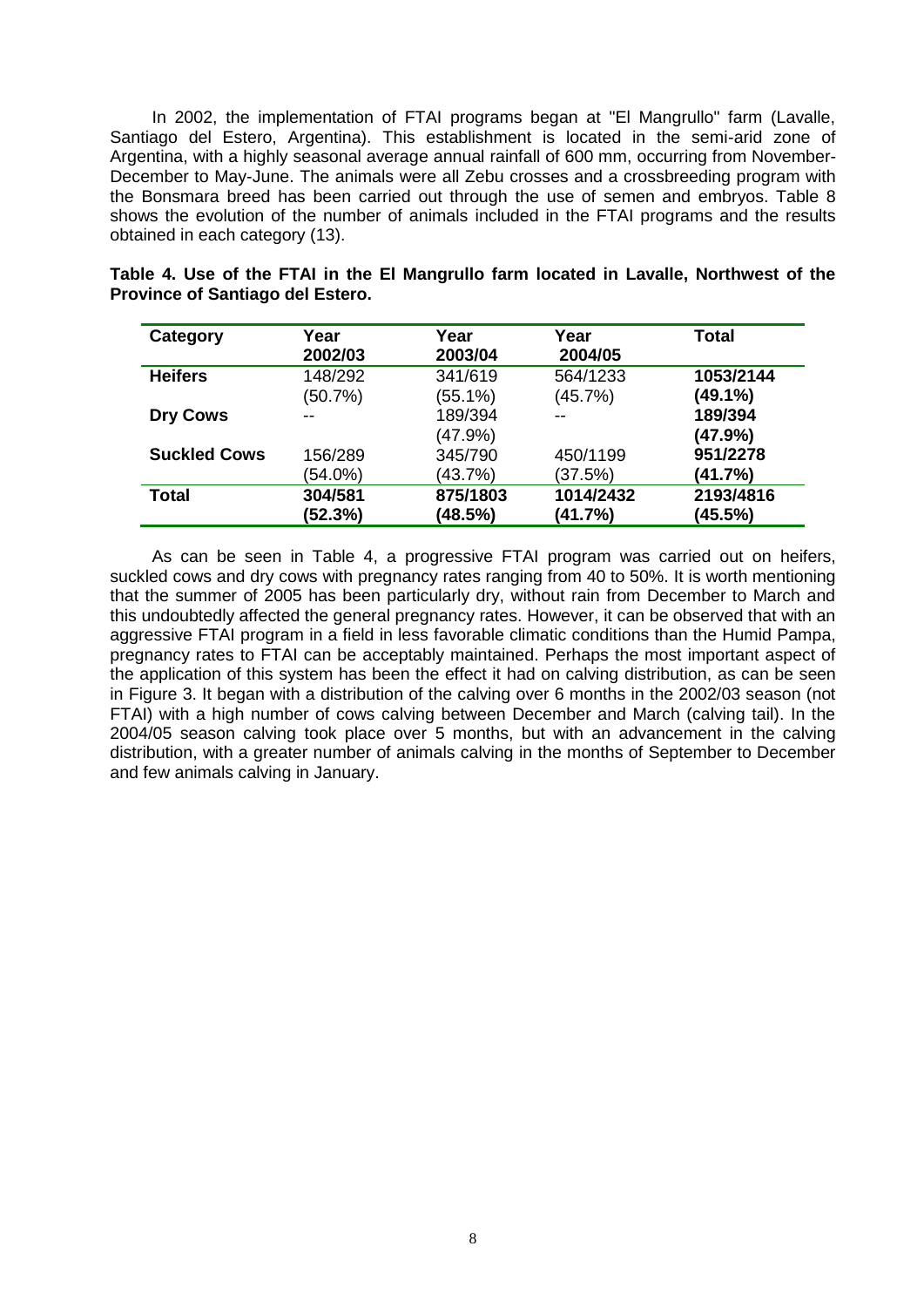In 2002, the implementation of FTAI programs began at "El Mangrullo" farm (Lavalle, Santiago del Estero, Argentina). This establishment is located in the semi-arid zone of Argentina, with a highly seasonal average annual rainfall of 600 mm, occurring from November-December to May-June. The animals were all Zebu crosses and a crossbreeding program with the Bonsmara breed has been carried out through the use of semen and embryos. Table 8 shows the evolution of the number of animals included in the FTAI programs and the results obtained in each category (13).

| Category            | Year<br>2002/03 | Year<br>2003/04 | Year<br>2004/05 | Total     |
|---------------------|-----------------|-----------------|-----------------|-----------|
| <b>Heifers</b>      | 148/292         | 341/619         | 564/1233        | 1053/2144 |
|                     | (50.7%)         | $(55.1\%)$      | (45.7%)         | (49.1%)   |
| <b>Dry Cows</b>     |                 | 189/394         |                 | 189/394   |
|                     |                 | $(47.9\%)$      |                 | (47.9%)   |
| <b>Suckled Cows</b> | 156/289         | 345/790         | 450/1199        | 951/2278  |
|                     | $(54.0\%)$      | (43.7%)         | (37.5%)         | (41.7%)   |
| Total               | 304/581         | 875/1803        | 1014/2432       | 2193/4816 |
|                     | (52.3%)         | (48.5%)         | (41.7%)         | (45.5%)   |

**Table 4. Use of the FTAI in the El Mangrullo farm located in Lavalle, Northwest of the Province of Santiago del Estero.**

As can be seen in Table 4, a progressive FTAI program was carried out on heifers, suckled cows and dry cows with pregnancy rates ranging from 40 to 50%. It is worth mentioning that the summer of 2005 has been particularly dry, without rain from December to March and this undoubtedly affected the general pregnancy rates. However, it can be observed that with an aggressive FTAI program in a field in less favorable climatic conditions than the Humid Pampa, pregnancy rates to FTAI can be acceptably maintained. Perhaps the most important aspect of the application of this system has been the effect it had on calving distribution, as can be seen in Figure 3. It began with a distribution of the calving over 6 months in the 2002/03 season (not FTAI) with a high number of cows calving between December and March (calving tail). In the 2004/05 season calving took place over 5 months, but with an advancement in the calving distribution, with a greater number of animals calving in the months of September to December and few animals calving in January.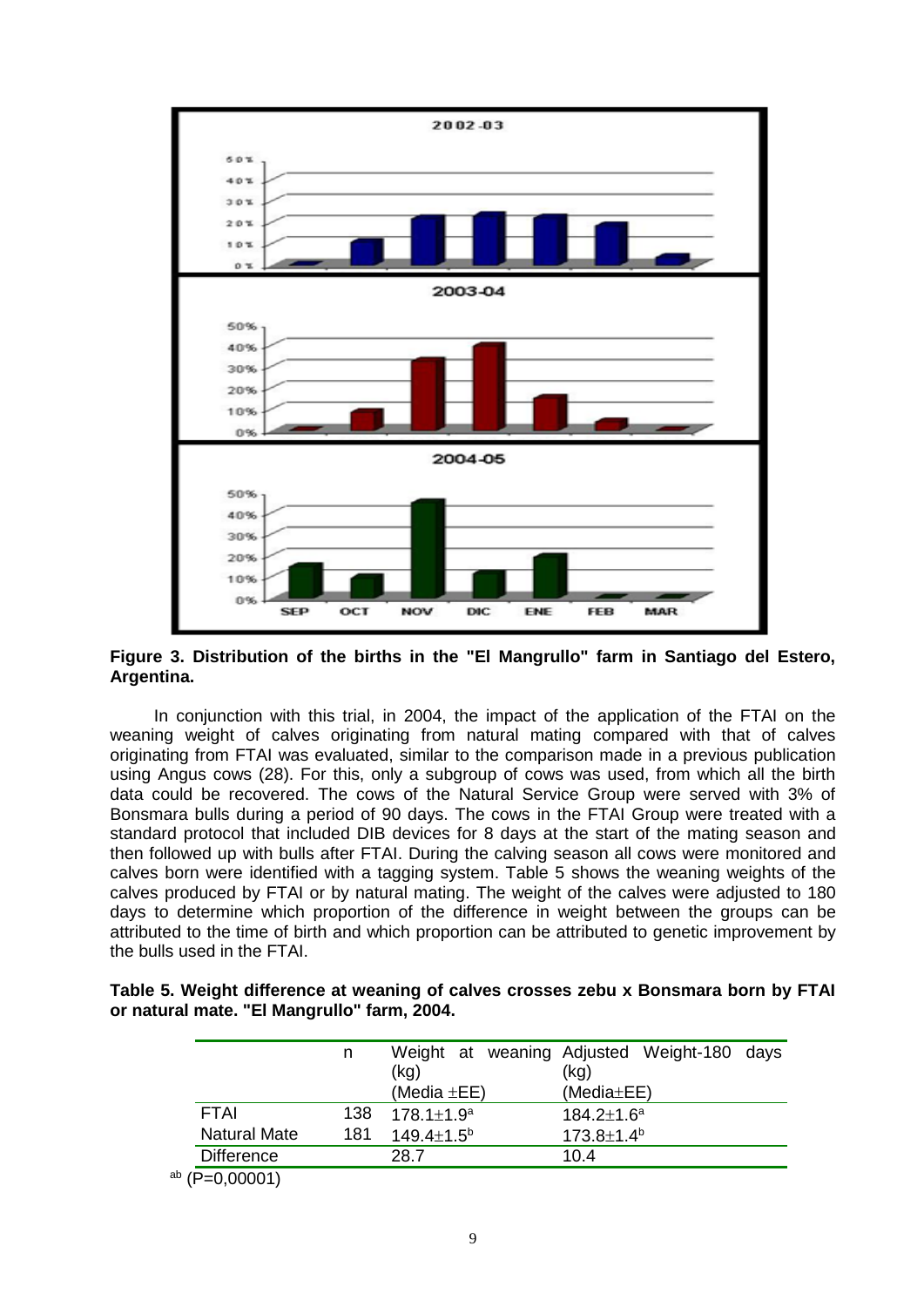

**Figure 3. Distribution of the births in the "El Mangrullo" farm in Santiago del Estero, Argentina.**

In conjunction with this trial, in 2004, the impact of the application of the FTAI on the weaning weight of calves originating from natural mating compared with that of calves originating from FTAI was evaluated, similar to the comparison made in a previous publication using Angus cows (28). For this, only a subgroup of cows was used, from which all the birth data could be recovered. The cows of the Natural Service Group were served with 3% of Bonsmara bulls during a period of 90 days. The cows in the FTAI Group were treated with a standard protocol that included DIB devices for 8 days at the start of the mating season and then followed up with bulls after FTAI. During the calving season all cows were monitored and calves born were identified with a tagging system. Table 5 shows the weaning weights of the calves produced by FTAI or by natural mating. The weight of the calves were adjusted to 180 days to determine which proportion of the difference in weight between the groups can be attributed to the time of birth and which proportion can be attributed to genetic improvement by the bulls used in the FTAI.

| Table 5. Weight difference at weaning of calves crosses zebu x Bonsmara born by FTAI |  |  |  |  |
|--------------------------------------------------------------------------------------|--|--|--|--|
| or natural mate. "El Mangrullo" farm, 2004.                                          |  |  |  |  |

|                     | n   |                         | Weight at weaning Adjusted Weight-180 days |
|---------------------|-----|-------------------------|--------------------------------------------|
|                     |     | (kg)                    | (kg)                                       |
|                     |     | (Media $\pm$ EE)        | $(Media \pm EE)$                           |
| <b>FTAI</b>         | 138 | $178.1 \pm 1.9^a$       | $184.2 \pm 1.6^a$                          |
| <b>Natural Mate</b> | 181 | $149.4 \pm 1.5^{\circ}$ | $173.8 \pm 1.4^b$                          |
| <b>Difference</b>   |     | 28.7                    | 10.4                                       |
| $^{ab}$ (P=0,00001) |     |                         |                                            |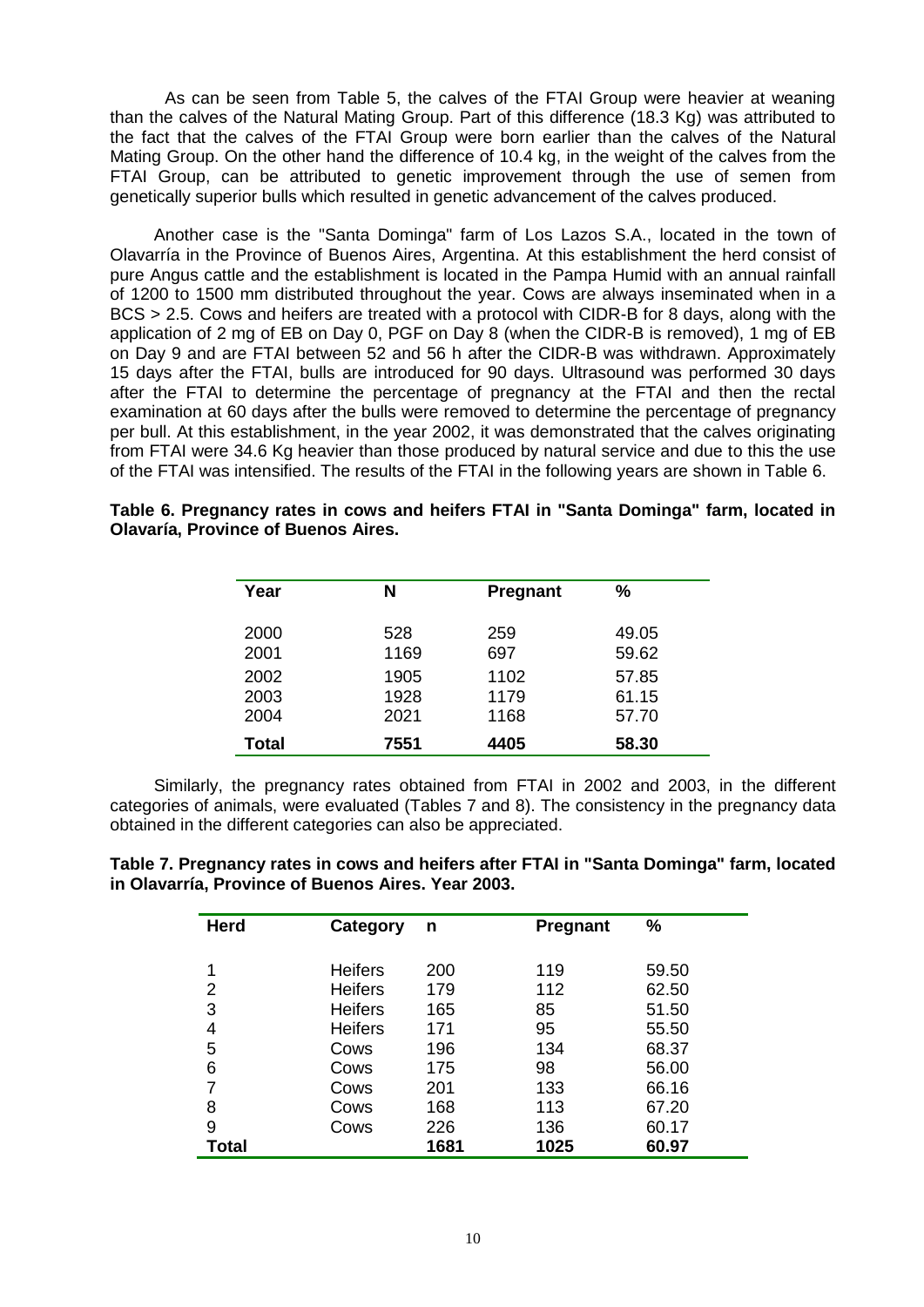As can be seen from Table 5, the calves of the FTAI Group were heavier at weaning than the calves of the Natural Mating Group. Part of this difference (18.3 Kg) was attributed to the fact that the calves of the FTAI Group were born earlier than the calves of the Natural Mating Group. On the other hand the difference of 10.4 kg, in the weight of the calves from the FTAI Group, can be attributed to genetic improvement through the use of semen from genetically superior bulls which resulted in genetic advancement of the calves produced.

Another case is the "Santa Dominga" farm of Los Lazos S.A., located in the town of Olavarría in the Province of Buenos Aires, Argentina. At this establishment the herd consist of pure Angus cattle and the establishment is located in the Pampa Humid with an annual rainfall of 1200 to 1500 mm distributed throughout the year. Cows are always inseminated when in a BCS > 2.5. Cows and heifers are treated with a protocol with CIDR-B for 8 days, along with the application of 2 mg of EB on Day 0, PGF on Day 8 (when the CIDR-B is removed), 1 mg of EB on Day 9 and are FTAI between 52 and 56 h after the CIDR-B was withdrawn. Approximately 15 days after the FTAI, bulls are introduced for 90 days. Ultrasound was performed 30 days after the FTAI to determine the percentage of pregnancy at the FTAI and then the rectal examination at 60 days after the bulls were removed to determine the percentage of pregnancy per bull. At this establishment, in the year 2002, it was demonstrated that the calves originating from FTAI were 34.6 Kg heavier than those produced by natural service and due to this the use of the FTAI was intensified. The results of the FTAI in the following years are shown in Table 6.

| Year  | N    | Pregnant | %     |
|-------|------|----------|-------|
| 2000  | 528  | 259      | 49.05 |
| 2001  | 1169 | 697      | 59.62 |
| 2002  | 1905 | 1102     | 57.85 |
| 2003  | 1928 | 1179     | 61.15 |
| 2004  | 2021 | 1168     | 57.70 |
| Total | 7551 | 4405     | 58.30 |

**Table 6. Pregnancy rates in cows and heifers FTAI in "Santa Dominga" farm, located in Olavaría, Province of Buenos Aires.**

Similarly, the pregnancy rates obtained from FTAI in 2002 and 2003, in the different categories of animals, were evaluated (Tables 7 and 8). The consistency in the pregnancy data obtained in the different categories can also be appreciated.

**Table 7. Pregnancy rates in cows and heifers after FTAI in "Santa Dominga" farm, located in Olavarría, Province of Buenos Aires. Year 2003.**

| <b>Herd</b>  | Category       | n    | Pregnant | $\frac{0}{0}$ |
|--------------|----------------|------|----------|---------------|
|              |                |      |          |               |
|              | <b>Heifers</b> | 200  | 119      | 59.50         |
| 2            | <b>Heifers</b> | 179  | 112      | 62.50         |
| 3            | <b>Heifers</b> | 165  | 85       | 51.50         |
| 4            | <b>Heifers</b> | 171  | 95       | 55.50         |
| 5            | Cows           | 196  | 134      | 68.37         |
| 6            | Cows           | 175  | 98       | 56.00         |
|              | Cows           | 201  | 133      | 66.16         |
| 8            | Cows           | 168  | 113      | 67.20         |
| 9            | Cows           | 226  | 136      | 60.17         |
| <b>Total</b> |                | 1681 | 1025     | 60.97         |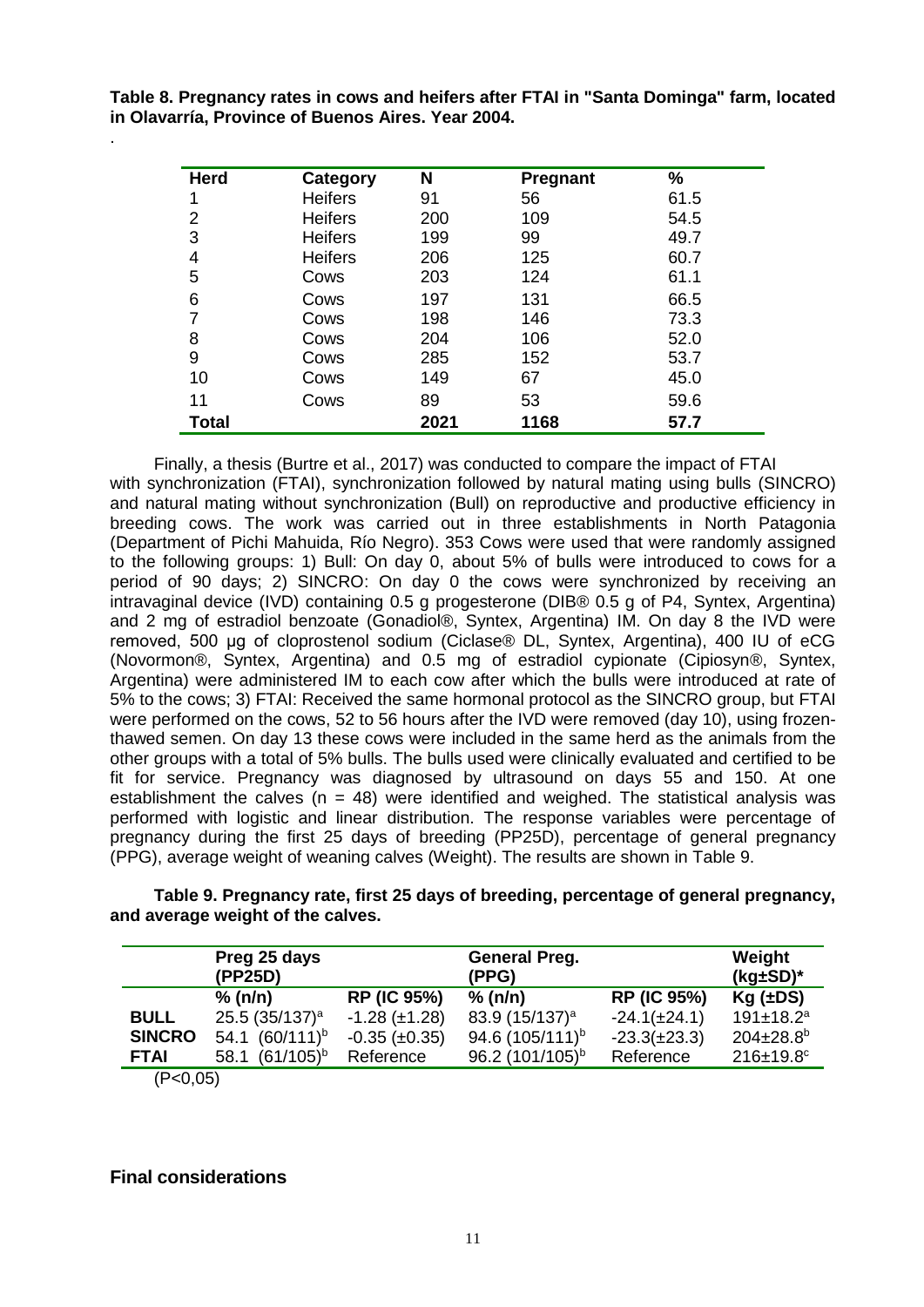**Table 8. Pregnancy rates in cows and heifers after FTAI in "Santa Dominga" farm, located in Olavarría, Province of Buenos Aires. Year 2004.**

| <b>Herd</b>    | <b>Category</b> | N    | <b>Pregnant</b> | %    |
|----------------|-----------------|------|-----------------|------|
| 1              | <b>Heifers</b>  | 91   | 56              | 61.5 |
| $\overline{2}$ | <b>Heifers</b>  | 200  | 109             | 54.5 |
| 3              | <b>Heifers</b>  | 199  | 99              | 49.7 |
| 4              | <b>Heifers</b>  | 206  | 125             | 60.7 |
| 5              | Cows            | 203  | 124             | 61.1 |
| 6              | Cows            | 197  | 131             | 66.5 |
| 7              | Cows            | 198  | 146             | 73.3 |
| 8              | Cows            | 204  | 106             | 52.0 |
| 9              | Cows            | 285  | 152             | 53.7 |
| 10             | Cows            | 149  | 67              | 45.0 |
| 11             | Cows            | 89   | 53              | 59.6 |
| <b>Total</b>   |                 | 2021 | 1168            | 57.7 |

Finally, a thesis (Burtre et al., 2017) was conducted to compare the impact of FTAI with synchronization (FTAI), synchronization followed by natural mating using bulls (SINCRO) and natural mating without synchronization (Bull) on reproductive and productive efficiency in breeding cows. The work was carried out in three establishments in North Patagonia (Department of Pichi Mahuida, Río Negro). 353 Cows were used that were randomly assigned to the following groups: 1) Bull: On day 0, about 5% of bulls were introduced to cows for a period of 90 days; 2) SINCRO: On day 0 the cows were synchronized by receiving an intravaginal device (IVD) containing 0.5 g progesterone (DIB® 0.5 g of P4, Syntex, Argentina) and 2 mg of estradiol benzoate (Gonadiol®, Syntex, Argentina) IM. On day 8 the IVD were removed, 500 μg of cloprostenol sodium (Ciclase® DL, Syntex, Argentina), 400 IU of eCG (Novormon®, Syntex, Argentina) and 0.5 mg of estradiol cypionate (Cipiosyn®, Syntex, Argentina) were administered IM to each cow after which the bulls were introduced at rate of 5% to the cows; 3) FTAI: Received the same hormonal protocol as the SINCRO group, but FTAI were performed on the cows, 52 to 56 hours after the IVD were removed (day 10), using frozenthawed semen. On day 13 these cows were included in the same herd as the animals from the other groups with a total of 5% bulls. The bulls used were clinically evaluated and certified to be fit for service. Pregnancy was diagnosed by ultrasound on days 55 and 150. At one establishment the calves ( $n = 48$ ) were identified and weighed. The statistical analysis was performed with logistic and linear distribution. The response variables were percentage of pregnancy during the first 25 days of breeding (PP25D), percentage of general pregnancy (PPG), average weight of weaning calves (Weight). The results are shown in Table 9.

**Table 9. Pregnancy rate, first 25 days of breeding, percentage of general pregnancy, and average weight of the calves.**

|               | Preg 25 days<br>(PP25D)    |                      | <b>General Preg.</b><br>(PPG) |                    | Weight<br>$(kg \pm SD)^*$   |
|---------------|----------------------------|----------------------|-------------------------------|--------------------|-----------------------------|
|               | % (n/n)                    | <b>RP (IC 95%)</b>   | % (n/n)                       | <b>RP (IC 95%)</b> | $Kg(\pm DS)$                |
| <b>BULL</b>   | 25.5 $(35/137)^a$          | $-1.28 (\pm 1.28)$   | 83.9 $(15/137)^a$             | $-24.1(\pm 24.1)$  | $191 \pm 18.2^a$            |
| <b>SINCRO</b> | 54.1 (60/111) <sup>b</sup> | $-0.35 \ (\pm 0.35)$ | 94.6 (105/111) <sup>b</sup>   | $-23.3(\pm 23.3)$  | $204 \pm 28.8$ <sup>b</sup> |
| <b>FTAI</b>   | $(61/105)^{b}$<br>58.1     | Reference            | 96.2 (101/105) <sup>b</sup>   | Reference          | $216 \pm 19.8$ °            |
| (P<0.05)      |                            |                      |                               |                    |                             |

**Final considerations**

.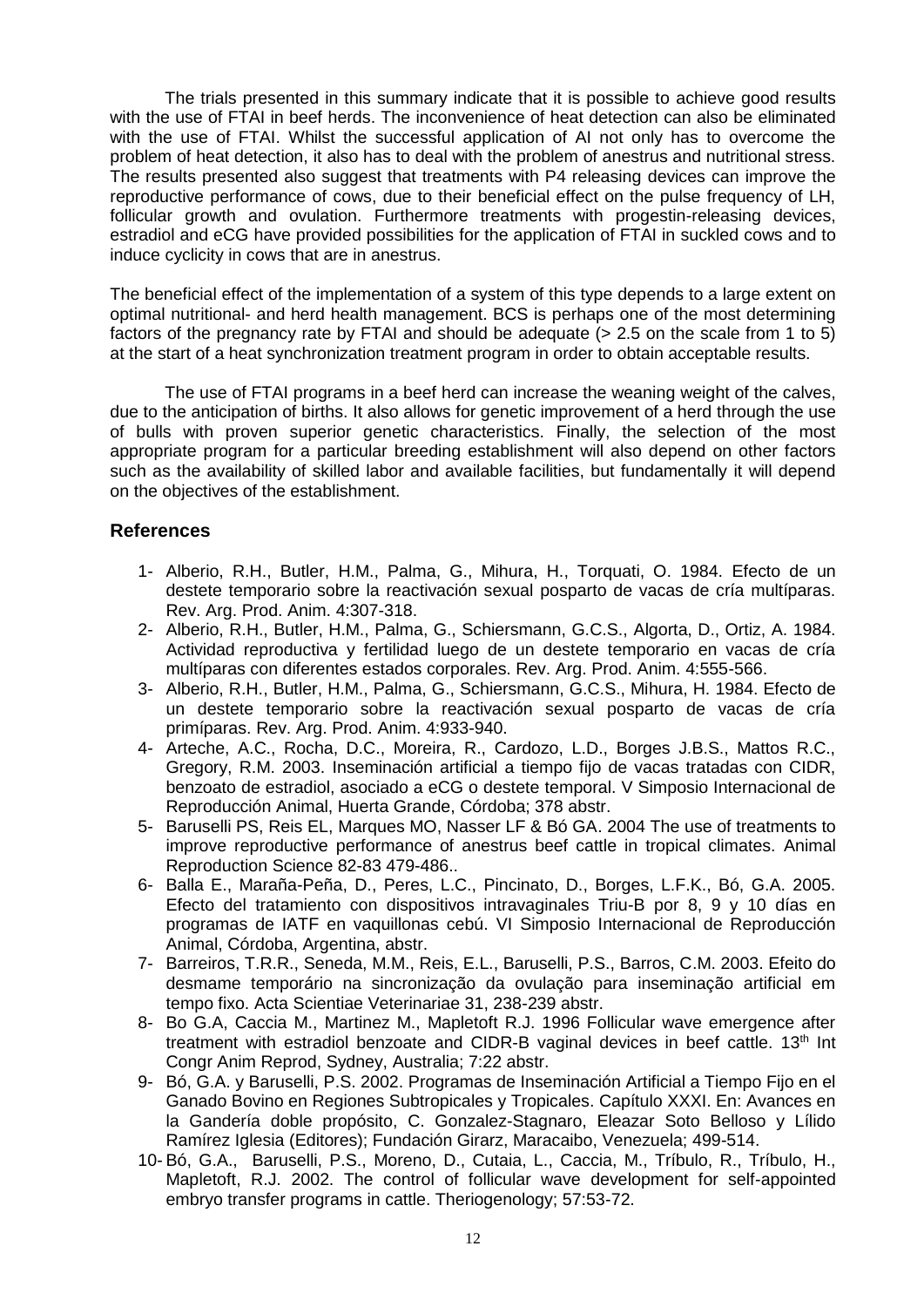The trials presented in this summary indicate that it is possible to achieve good results with the use of FTAI in beef herds. The inconvenience of heat detection can also be eliminated with the use of FTAI. Whilst the successful application of AI not only has to overcome the problem of heat detection, it also has to deal with the problem of anestrus and nutritional stress. The results presented also suggest that treatments with P4 releasing devices can improve the reproductive performance of cows, due to their beneficial effect on the pulse frequency of LH, follicular growth and ovulation. Furthermore treatments with progestin-releasing devices, estradiol and eCG have provided possibilities for the application of FTAI in suckled cows and to induce cyclicity in cows that are in anestrus.

The beneficial effect of the implementation of a system of this type depends to a large extent on optimal nutritional- and herd health management. BCS is perhaps one of the most determining factors of the pregnancy rate by FTAI and should be adequate ( $> 2.5$  on the scale from 1 to 5) at the start of a heat synchronization treatment program in order to obtain acceptable results.

The use of FTAI programs in a beef herd can increase the weaning weight of the calves, due to the anticipation of births. It also allows for genetic improvement of a herd through the use of bulls with proven superior genetic characteristics. Finally, the selection of the most appropriate program for a particular breeding establishment will also depend on other factors such as the availability of skilled labor and available facilities, but fundamentally it will depend on the objectives of the establishment.

## **References**

- 1- Alberio, R.H., Butler, H.M., Palma, G., Mihura, H., Torquati, O. 1984. Efecto de un destete temporario sobre la reactivación sexual posparto de vacas de cría multíparas. Rev. Arg. Prod. Anim. 4:307-318.
- 2- Alberio, R.H., Butler, H.M., Palma, G., Schiersmann, G.C.S., Algorta, D., Ortiz, A. 1984. Actividad reproductiva y fertilidad luego de un destete temporario en vacas de cría multíparas con diferentes estados corporales. Rev. Arg. Prod. Anim. 4:555-566.
- 3- Alberio, R.H., Butler, H.M., Palma, G., Schiersmann, G.C.S., Mihura, H. 1984. Efecto de un destete temporario sobre la reactivación sexual posparto de vacas de cría primíparas. Rev. Arg. Prod. Anim. 4:933-940.
- 4- Arteche, A.C., Rocha, D.C., Moreira, R., Cardozo, L.D., Borges J.B.S., Mattos R.C., Gregory, R.M. 2003. Inseminación artificial a tiempo fijo de vacas tratadas con CIDR, benzoato de estradiol, asociado a eCG o destete temporal. V Simposio Internacional de Reproducción Animal, Huerta Grande, Córdoba; 378 abstr.
- 5- Baruselli PS, Reis EL, Marques MO, Nasser LF & Bó GA. 2004 The use of treatments to improve reproductive performance of anestrus beef cattle in tropical climates. Animal Reproduction Science 82-83 479-486..
- 6- Balla E., Maraña-Peña, D., Peres, L.C., Pincinato, D., Borges, L.F.K., Bó, G.A. 2005. Efecto del tratamiento con dispositivos intravaginales Triu-B por 8, 9 y 10 días en programas de IATF en vaquillonas cebú. VI Simposio Internacional de Reproducción Animal, Córdoba, Argentina, abstr.
- 7- Barreiros, T.R.R., Seneda, M.M., Reis, E.L., Baruselli, P.S., Barros, C.M. 2003. Efeito do desmame temporário na sincronização da ovulação para inseminação artificial em tempo fixo. Acta Scientiae Veterinariae 31, 238-239 abstr.
- 8- Bo G.A, Caccia M., Martinez M., Mapletoft R.J. 1996 Follicular wave emergence after treatment with estradiol benzoate and CIDR-B vaginal devices in beef cattle.  $13<sup>th</sup>$  Int Congr Anim Reprod, Sydney, Australia; 7:22 abstr.
- 9- Bó, G.A. y Baruselli, P.S. 2002. Programas de Inseminación Artificial a Tiempo Fijo en el Ganado Bovino en Regiones Subtropicales y Tropicales. Capítulo XXXI. En: Avances en la Gandería doble propósito, C. Gonzalez-Stagnaro, Eleazar Soto Belloso y Lílido Ramírez Iglesia (Editores); Fundación Girarz, Maracaibo, Venezuela; 499-514.
- 10- Bó, G.A., Baruselli, P.S., Moreno, D., Cutaia, L., Caccia, M., Tríbulo, R., Tríbulo, H., Mapletoft, R.J. 2002. The control of follicular wave development for self-appointed embryo transfer programs in cattle. Theriogenology; 57:53-72.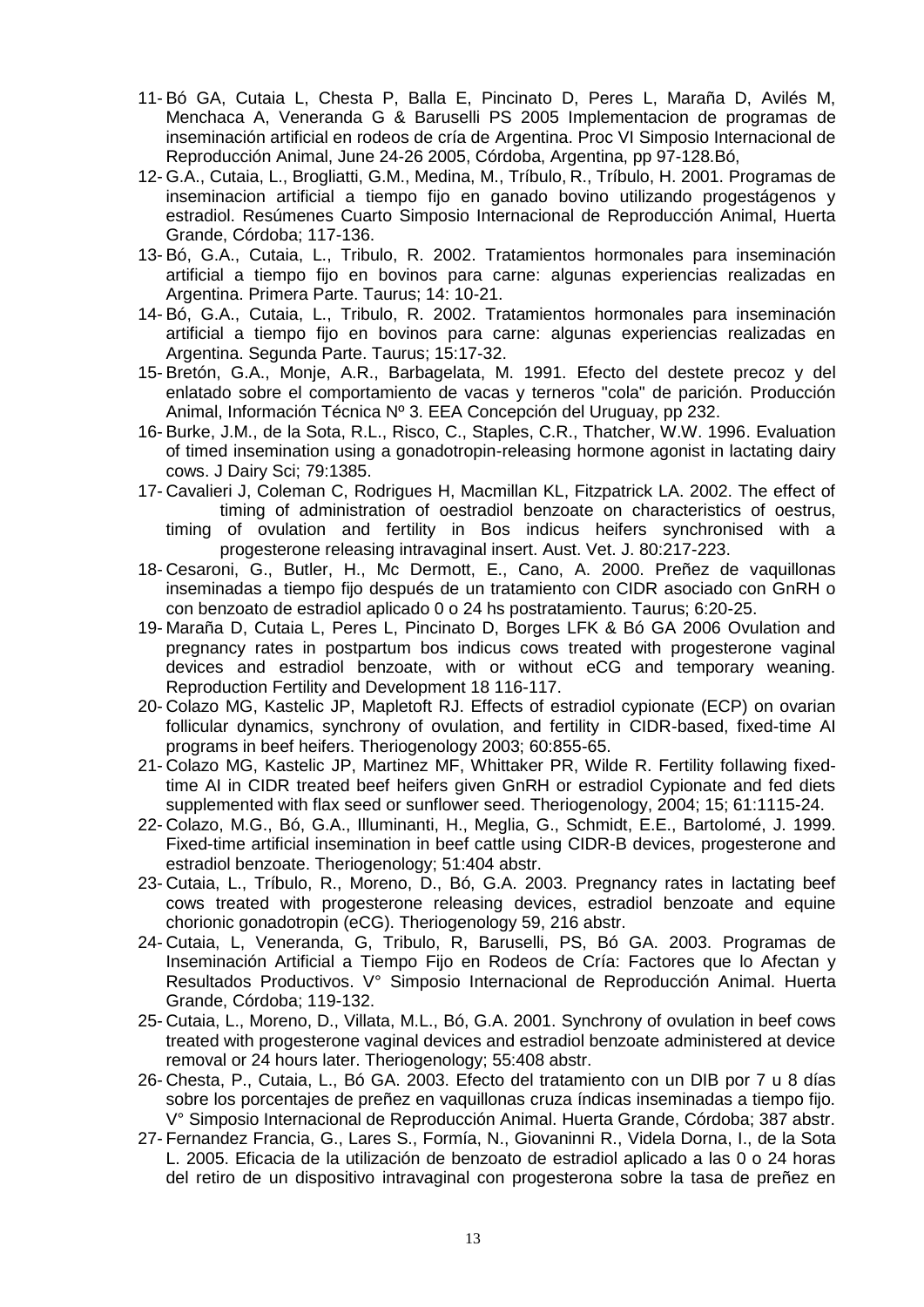- 11- Bó GA, Cutaia L, Chesta P, Balla E, Pincinato D, Peres L, Maraña D, Avilés M, Menchaca A, Veneranda G & Baruselli PS 2005 Implementacion de programas de inseminación artificial en rodeos de cría de Argentina. Proc VI Simposio Internacional de Reproducción Animal, June 24-26 2005, Córdoba, Argentina, pp 97-128.Bó,
- 12- G.A., Cutaia, L., Brogliatti, G.M., Medina, M., Tríbulo, R., Tríbulo, H. 2001. Programas de inseminacion artificial a tiempo fijo en ganado bovino utilizando progestágenos y estradiol. Resúmenes Cuarto Simposio Internacional de Reproducción Animal, Huerta Grande, Córdoba; 117-136.
- 13- Bó, G.A., Cutaia, L., Tribulo, R. 2002. Tratamientos hormonales para inseminación artificial a tiempo fijo en bovinos para carne: algunas experiencias realizadas en Argentina. Primera Parte. Taurus; 14: 10-21.
- 14- Bó, G.A., Cutaia, L., Tribulo, R. 2002. Tratamientos hormonales para inseminación artificial a tiempo fijo en bovinos para carne: algunas experiencias realizadas en Argentina. Segunda Parte. Taurus; 15:17-32.
- 15- Bretón, G.A., Monje, A.R., Barbagelata, M. 1991. Efecto del destete precoz y del enlatado sobre el comportamiento de vacas y terneros "cola" de parición. Producción Animal, Información Técnica Nº 3. EEA Concepción del Uruguay, pp 232.
- 16- Burke, J.M., de la Sota, R.L., Risco, C., Staples, C.R., Thatcher, W.W. 1996. Evaluation of timed insemination using a gonadotropin-releasing hormone agonist in lactating dairy cows. J Dairy Sci; 79:1385.
- 17- Cavalieri J, Coleman C, Rodrigues H, Macmillan KL, Fitzpatrick LA. 2002. The effect of timing of administration of oestradiol benzoate on characteristics of oestrus, timing of ovulation and fertility in Bos indicus heifers synchronised with a progesterone releasing intravaginal insert. Aust. Vet. J. 80:217-223.
- 18- Cesaroni, G., Butler, H., Mc Dermott, E., Cano, A. 2000. Preñez de vaquillonas inseminadas a tiempo fijo después de un tratamiento con CIDR asociado con GnRH o con benzoato de estradiol aplicado 0 o 24 hs postratamiento. Taurus; 6:20-25.
- 19- Maraña D, Cutaia L, Peres L, Pincinato D, Borges LFK & Bó GA 2006 Ovulation and pregnancy rates in postpartum bos indicus cows treated with progesterone vaginal devices and estradiol benzoate, with or without eCG and temporary weaning. Reproduction Fertility and Development 18 116-117.
- 20- Colazo MG, Kastelic JP, Mapletoft RJ. Effects of estradiol cypionate (ECP) on ovarian follicular dynamics, synchrony of ovulation, and fertility in CIDR-based, fixed-time AI programs in beef heifers. Theriogenology 2003; 60:855-65.
- 21- Colazo MG, Kastelic JP, Martinez MF, Whittaker PR, Wilde R. Fertility follawing fixedtime AI in CIDR treated beef heifers given GnRH or estradiol Cypionate and fed diets supplemented with flax seed or sunflower seed. Theriogenology, 2004; 15; 61:1115-24.
- 22- Colazo, M.G., Bó, G.A., Illuminanti, H., Meglia, G., Schmidt, E.E., Bartolomé, J. 1999. Fixed-time artificial insemination in beef cattle using CIDR-B devices, progesterone and estradiol benzoate. Theriogenology; 51:404 abstr.
- 23- Cutaia, L., Tríbulo, R., Moreno, D., Bó, G.A. 2003. Pregnancy rates in lactating beef cows treated with progesterone releasing devices, estradiol benzoate and equine chorionic gonadotropin (eCG). Theriogenology 59, 216 abstr.
- 24- Cutaia, L, Veneranda, G, Tribulo, R, Baruselli, PS, Bó GA. 2003. Programas de Inseminación Artificial a Tiempo Fijo en Rodeos de Cría: Factores que lo Afectan y Resultados Productivos. V° Simposio Internacional de Reproducción Animal. Huerta Grande, Córdoba; 119-132.
- 25- Cutaia, L., Moreno, D., Villata, M.L., Bó, G.A. 2001. Synchrony of ovulation in beef cows treated with progesterone vaginal devices and estradiol benzoate administered at device removal or 24 hours later. Theriogenology; 55:408 abstr.
- 26- Chesta, P., Cutaia, L., Bó GA. 2003. Efecto del tratamiento con un DIB por 7 u 8 días sobre los porcentajes de preñez en vaquillonas cruza índicas inseminadas a tiempo fijo. V° Simposio Internacional de Reproducción Animal. Huerta Grande, Córdoba; 387 abstr.
- 27- Fernandez Francia, G., Lares S., Formía, N., Giovaninni R., Videla Dorna, I., de la Sota L. 2005. Eficacia de la utilización de benzoato de estradiol aplicado a las 0 o 24 horas del retiro de un dispositivo intravaginal con progesterona sobre la tasa de preñez en